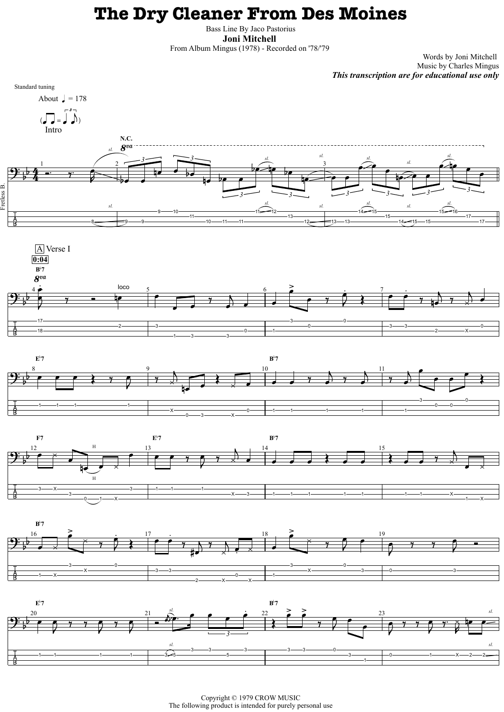## **The Dry Cleaner From Des Moines**

Bass Line By Jaco Pastorius **Joni Mitchell** 

From Album Mingus (1978) - Recorded on '78/'79

Words by Joni Mitchell Music by Charles Mingus *This transcription are for educational use only*

Copyright © 1979 CROW MUSIC The following product is intended for purely personal use



3

0——1——X

3<del> | </del>1———1——————1

X 3 1 1 1 1 1 1 1 X

 $-1$   $\longrightarrow$  X

3——X



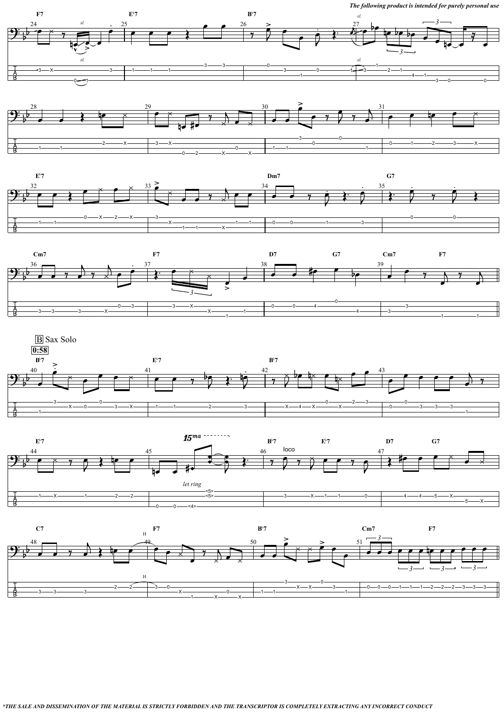0——0——<4>

 $\Box$ 

*The following product is intended for purely personal use*













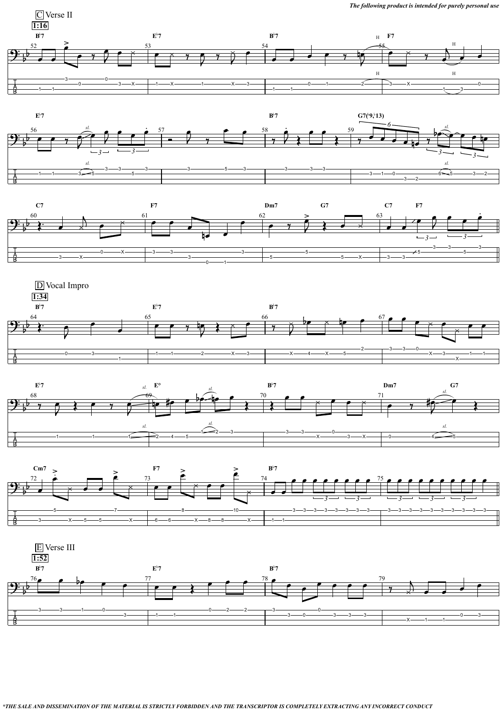











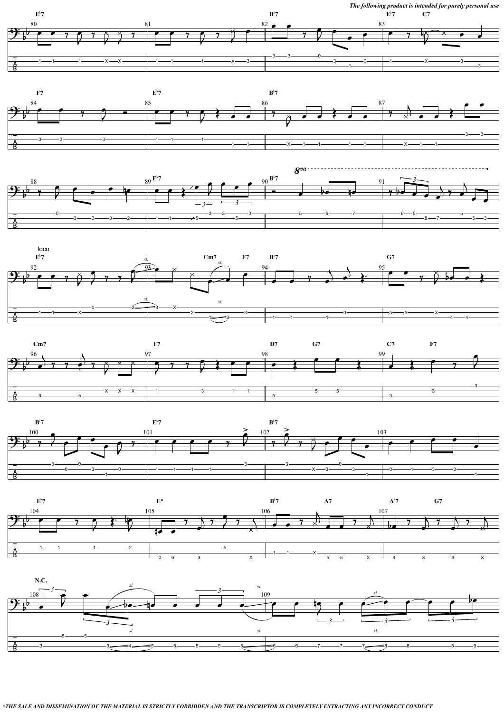*The following product is intended for purely personal use*













 $E^{\flat}7$ **7 B**<sup> $\bullet$ </sup> **A7 A**  $A^{\flat}7$  **G7** 



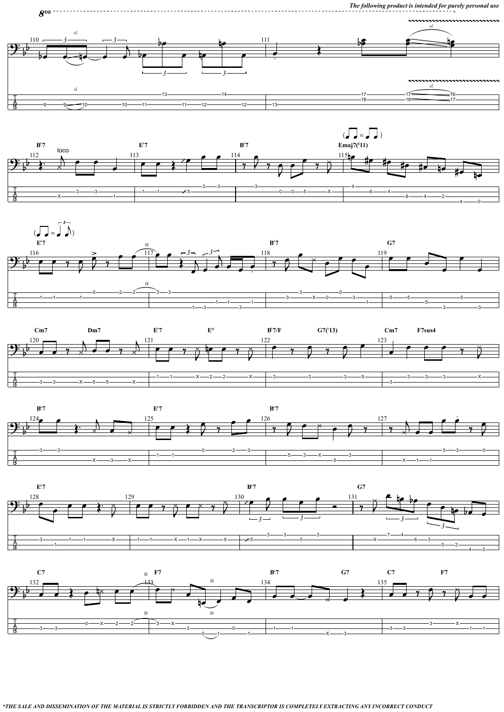*The following product is intended for purely personal use*

*\*THE SALE AND DISSEMINATION OF THE MATERIAL IS STRICTLY FORBIDDEN AND THE TRANSCRIPTOR IS COMPLETELY EXTRACTING ANY INCORRECT CONDUCT*